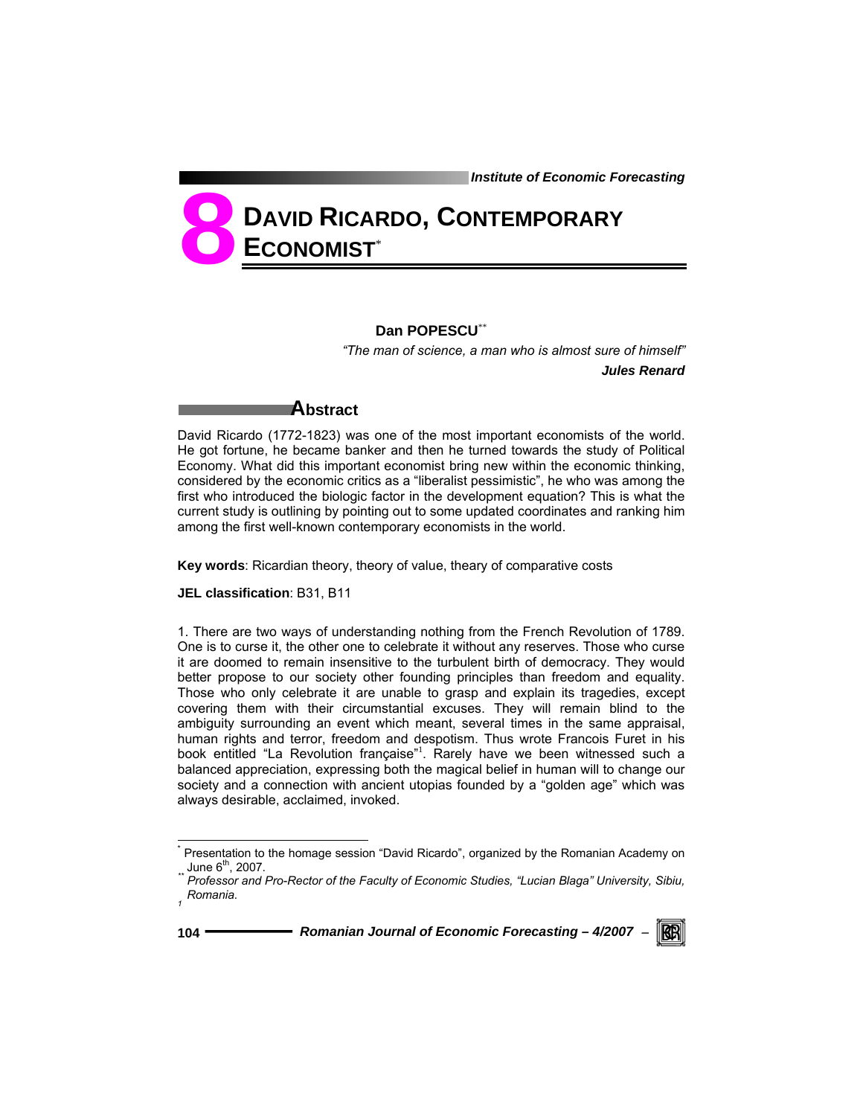# **DAVID RICARDO, CONTEMPORARY ECONOMIST**\* **8**

### **Dan POPESCU**\*\*

 *"The man of science, a man who is almost sure of himself" Jules Renard* 

## **Abstract**

David Ricardo (1772-1823) was one of the most important economists of the world. He got fortune, he became banker and then he turned towards the study of Political Economy. What did this important economist bring new within the economic thinking, considered by the economic critics as a "liberalist pessimistic", he who was among the first who introduced the biologic factor in the development equation? This is what the current study is outlining by pointing out to some updated coordinates and ranking him among the first well-known contemporary economists in the world.

**Key words**: Ricardian theory, theory of value, theary of comparative costs

**JEL classification**: B31, B11

1. There are two ways of understanding nothing from the French Revolution of 1789. One is to curse it, the other one to celebrate it without any reserves. Those who curse it are doomed to remain insensitive to the turbulent birth of democracy. They would better propose to our society other founding principles than freedom and equality. Those who only celebrate it are unable to grasp and explain its tragedies, except covering them with their circumstantial excuses. They will remain blind to the ambiguity surrounding an event which meant, several times in the same appraisal, human rights and terror, freedom and despotism. Thus wrote Francois Furet in his book entitled "La Revolution française"<sup>1</sup>. Rarely have we been witnessed such a balanced appreciation, expressing both the magical belief in human will to change our society and a connection with ancient utopias founded by a "golden age" which was always desirable, acclaimed, invoked.

l



<sup>\*</sup> <sup>'</sup> Presentation to the homage session "David Ricardo", organized by the Romanian Academy on<br>ួ June 6<sup>th</sup>, 2007.

Professor and Pro-Rector of the Faculty of Economic Studies, "Lucian Blaga" University, Sibiu, *Romania. 1*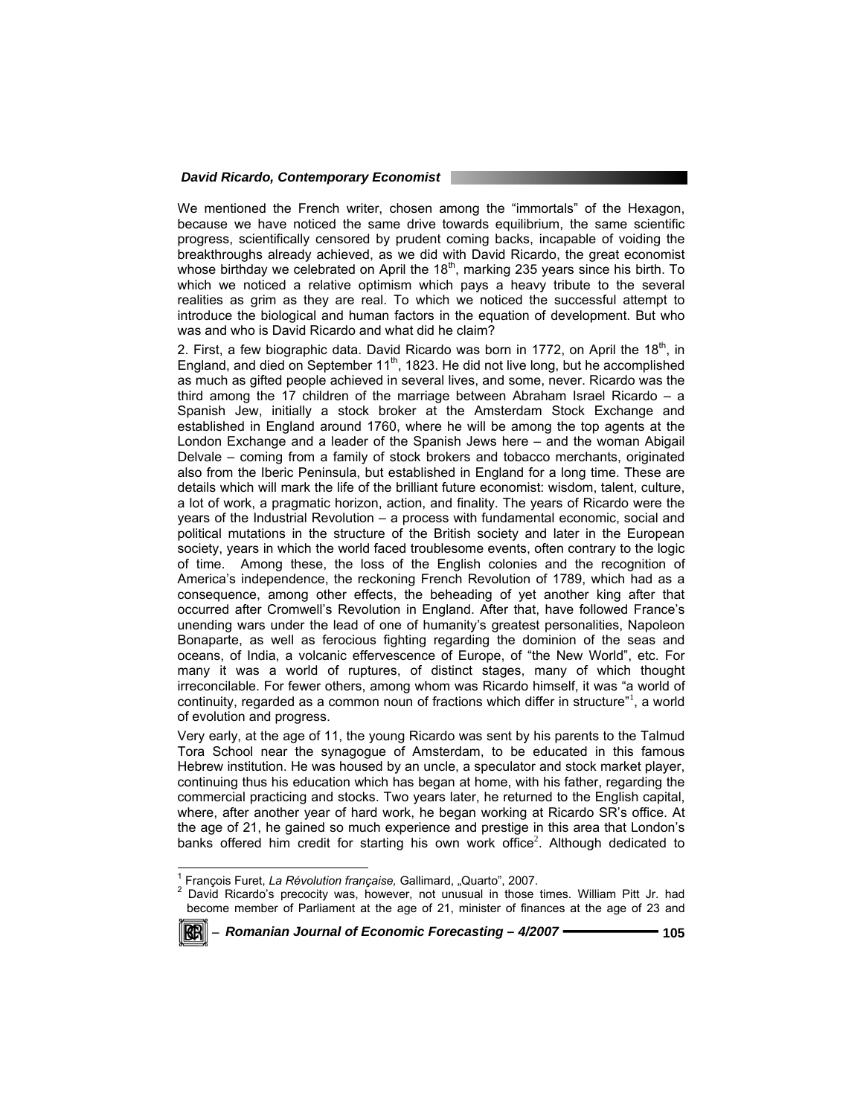We mentioned the French writer, chosen among the "immortals" of the Hexagon, because we have noticed the same drive towards equilibrium, the same scientific progress, scientifically censored by prudent coming backs, incapable of voiding the breakthroughs already achieved, as we did with David Ricardo, the great economist whose birthday we celebrated on April the  $18<sup>th</sup>$ , marking 235 years since his birth. To which we noticed a relative optimism which pays a heavy tribute to the several realities as grim as they are real. To which we noticed the successful attempt to introduce the biological and human factors in the equation of development. But who was and who is David Ricardo and what did he claim?

2. First, a few biographic data. David Ricardo was born in 1772, on April the  $18<sup>th</sup>$ , in England, and died on September 11<sup>th</sup>, 1823. He did not live long, but he accomplished as much as gifted people achieved in several lives, and some, never. Ricardo was the third among the 17 children of the marriage between Abraham Israel Ricardo – a Spanish Jew, initially a stock broker at the Amsterdam Stock Exchange and established in England around 1760, where he will be among the top agents at the London Exchange and a leader of the Spanish Jews here – and the woman Abigail Delvale – coming from a family of stock brokers and tobacco merchants, originated also from the Iberic Peninsula, but established in England for a long time. These are details which will mark the life of the brilliant future economist: wisdom, talent, culture, a lot of work, a pragmatic horizon, action, and finality. The years of Ricardo were the years of the Industrial Revolution – a process with fundamental economic, social and political mutations in the structure of the British society and later in the European society, years in which the world faced troublesome events, often contrary to the logic of time. Among these, the loss of the English colonies and the recognition of America's independence, the reckoning French Revolution of 1789, which had as a consequence, among other effects, the beheading of yet another king after that occurred after Cromwell's Revolution in England. After that, have followed France's unending wars under the lead of one of humanity's greatest personalities, Napoleon Bonaparte, as well as ferocious fighting regarding the dominion of the seas and oceans, of India, a volcanic effervescence of Europe, of "the New World", etc. For many it was a world of ruptures, of distinct stages, many of which thought irreconcilable. For fewer others, among whom was Ricardo himself, it was "a world of continuity, regarded as a common noun of fractions which differ in structure"<sup>1</sup>, a world of evolution and progress.

Very early, at the age of 11, the young Ricardo was sent by his parents to the Talmud Tora School near the synagogue of Amsterdam, to be educated in this famous Hebrew institution. He was housed by an uncle, a speculator and stock market player, continuing thus his education which has began at home, with his father, regarding the commercial practicing and stocks. Two years later, he returned to the English capital, where, after another year of hard work, he began working at Ricardo SR's office. At the age of 21, he gained so much experience and prestige in this area that London's banks offered him credit for starting his own work office<sup>2</sup>. Although dedicated to

<sup>&</sup>lt;sup>2</sup> David Ricardo's precocity was, however, not unusual in those times. William Pitt Jr. had become member of Parliament at the age of 21, minister of finances at the age of 23 and



 $\frac{1}{1}$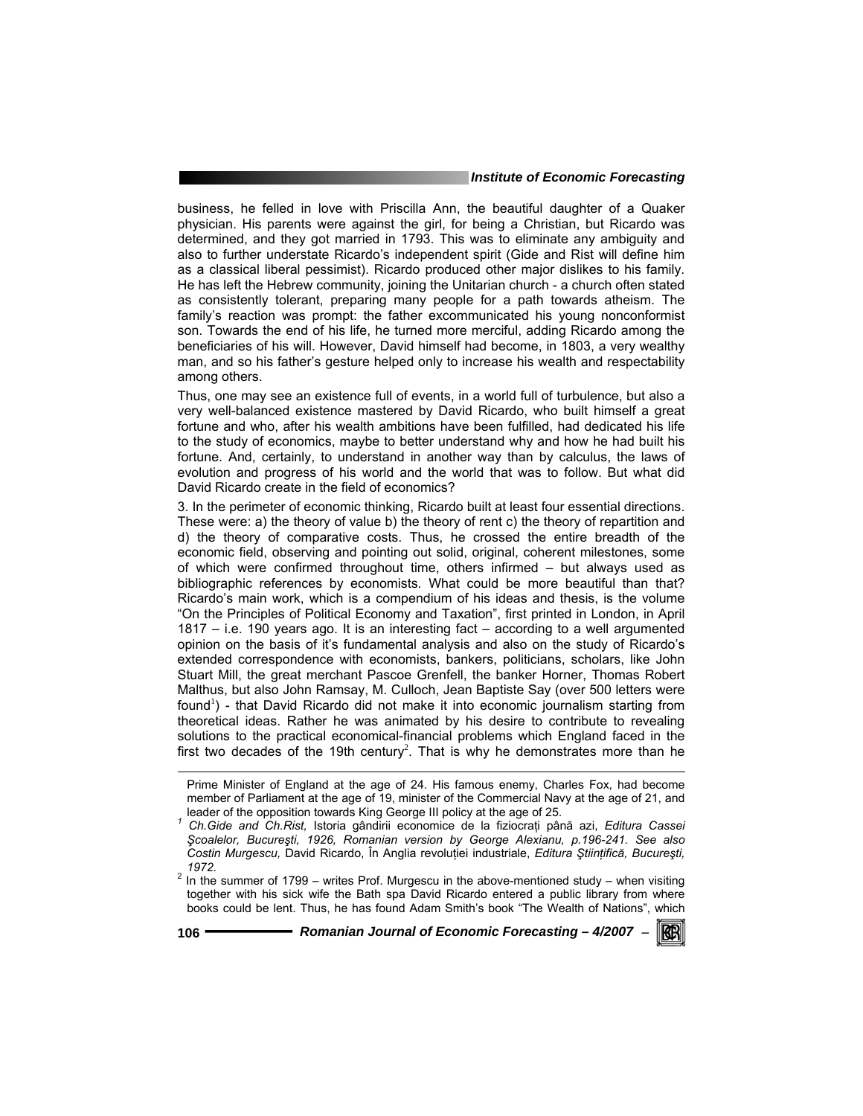business, he felled in love with Priscilla Ann, the beautiful daughter of a Quaker physician. His parents were against the girl, for being a Christian, but Ricardo was determined, and they got married in 1793. This was to eliminate any ambiguity and also to further understate Ricardo's independent spirit (Gide and Rist will define him as a classical liberal pessimist). Ricardo produced other major dislikes to his family. He has left the Hebrew community, joining the Unitarian church - a church often stated as consistently tolerant, preparing many people for a path towards atheism. The family's reaction was prompt: the father excommunicated his young nonconformist son. Towards the end of his life, he turned more merciful, adding Ricardo among the beneficiaries of his will. However, David himself had become, in 1803, a very wealthy man, and so his father's gesture helped only to increase his wealth and respectability among others.

Thus, one may see an existence full of events, in a world full of turbulence, but also a very well-balanced existence mastered by David Ricardo, who built himself a great fortune and who, after his wealth ambitions have been fulfilled, had dedicated his life to the study of economics, maybe to better understand why and how he had built his fortune. And, certainly, to understand in another way than by calculus, the laws of evolution and progress of his world and the world that was to follow. But what did David Ricardo create in the field of economics?

3. In the perimeter of economic thinking, Ricardo built at least four essential directions. These were: a) the theory of value b) the theory of rent c) the theory of repartition and d) the theory of comparative costs. Thus, he crossed the entire breadth of the economic field, observing and pointing out solid, original, coherent milestones, some of which were confirmed throughout time, others infirmed – but always used as bibliographic references by economists. What could be more beautiful than that? Ricardo's main work, which is a compendium of his ideas and thesis, is the volume "On the Principles of Political Economy and Taxation", first printed in London, in April 1817 – i.e. 190 years ago. It is an interesting fact – according to a well argumented opinion on the basis of it's fundamental analysis and also on the study of Ricardo's extended correspondence with economists, bankers, politicians, scholars, like John Stuart Mill, the great merchant Pascoe Grenfell, the banker Horner, Thomas Robert Malthus, but also John Ramsay, M. Culloch, Jean Baptiste Say (over 500 letters were found<sup>1</sup>) - that David Ricardo did not make it into economic journalism starting from theoretical ideas. Rather he was animated by his desire to contribute to revealing solutions to the practical economical-financial problems which England faced in the first two decades of the 19th century<sup>2</sup>. That is why he demonstrates more than he

l

KGRI

Prime Minister of England at the age of 24. His famous enemy, Charles Fox, had become member of Parliament at the age of 19, minister of the Commercial Navy at the age of 21, and leader of the opposition towards King George III policy at the age of 25. *<sup>1</sup>*

*Ch.Gide and Ch.Rist,* Istoria gândirii economice de la fiziocraţi până azi, *Editura Cassei Şcoalelor, Bucureşti, 1926, Romanian version by George Alexianu, p.196-241. See also Costin Murgescu,* David Ricardo, În Anglia revoluţiei industriale, *Editura Ştiinţifică, Bucureşti,* 

*<sup>1972.</sup>* <sup>2</sup> In the summer of 1799 – writes Prof. Murgescu in the above-mentioned study – when visiting together with his sick wife the Bath spa David Ricardo entered a public library from where books could be lent. Thus, he has found Adam Smith's book "The Wealth of Nations", which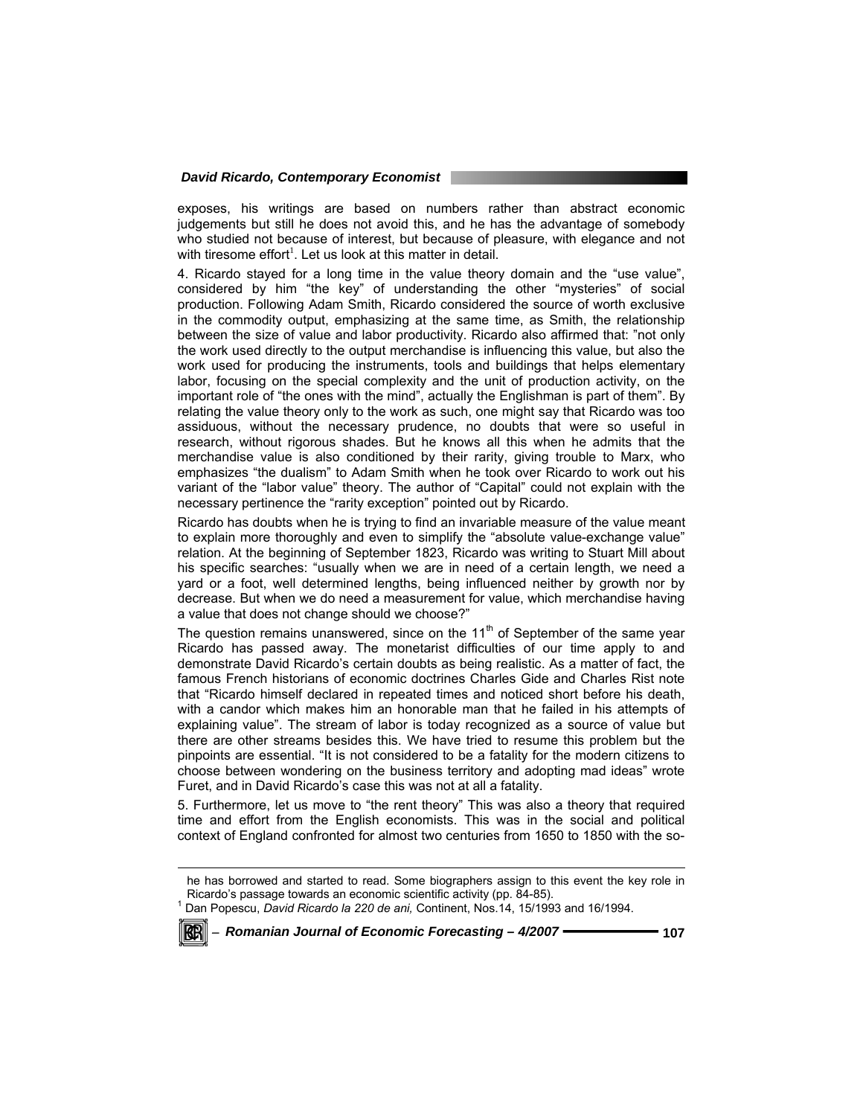exposes, his writings are based on numbers rather than abstract economic judgements but still he does not avoid this, and he has the advantage of somebody who studied not because of interest, but because of pleasure, with elegance and not with tiresome effort<sup>1</sup>. Let us look at this matter in detail.

4. Ricardo stayed for a long time in the value theory domain and the "use value", considered by him "the key" of understanding the other "mysteries" of social production. Following Adam Smith, Ricardo considered the source of worth exclusive in the commodity output, emphasizing at the same time, as Smith, the relationship between the size of value and labor productivity. Ricardo also affirmed that: "not only the work used directly to the output merchandise is influencing this value, but also the work used for producing the instruments, tools and buildings that helps elementary labor, focusing on the special complexity and the unit of production activity, on the important role of "the ones with the mind", actually the Englishman is part of them". By relating the value theory only to the work as such, one might say that Ricardo was too assiduous, without the necessary prudence, no doubts that were so useful in research, without rigorous shades. But he knows all this when he admits that the merchandise value is also conditioned by their rarity, giving trouble to Marx, who emphasizes "the dualism" to Adam Smith when he took over Ricardo to work out his variant of the "labor value" theory. The author of "Capital" could not explain with the necessary pertinence the "rarity exception" pointed out by Ricardo.

Ricardo has doubts when he is trying to find an invariable measure of the value meant to explain more thoroughly and even to simplify the "absolute value-exchange value" relation. At the beginning of September 1823, Ricardo was writing to Stuart Mill about his specific searches: "usually when we are in need of a certain length, we need a yard or a foot, well determined lengths, being influenced neither by growth nor by decrease. But when we do need a measurement for value, which merchandise having a value that does not change should we choose?"

The question remains unanswered, since on the  $11<sup>th</sup>$  of September of the same year Ricardo has passed away. The monetarist difficulties of our time apply to and demonstrate David Ricardo's certain doubts as being realistic. As a matter of fact, the famous French historians of economic doctrines Charles Gide and Charles Rist note that "Ricardo himself declared in repeated times and noticed short before his death, with a candor which makes him an honorable man that he failed in his attempts of explaining value". The stream of labor is today recognized as a source of value but there are other streams besides this. We have tried to resume this problem but the pinpoints are essential. "It is not considered to be a fatality for the modern citizens to choose between wondering on the business territory and adopting mad ideas" wrote Furet, and in David Ricardo's case this was not at all a fatality.

5. Furthermore, let us move to "the rent theory" This was also a theory that required time and effort from the English economists. This was in the social and political context of England confronted for almost two centuries from 1650 to 1850 with the so-

<sup>&</sup>lt;sup>1</sup> Dan Popescu, *David Ricardo la 220 de ani*, Continent, Nos.14, 15/1993 and 16/1994.



l

he has borrowed and started to read. Some biographers assign to this event the key role in Ricardo's passage towards an economic scientific activity (pp. 84-85).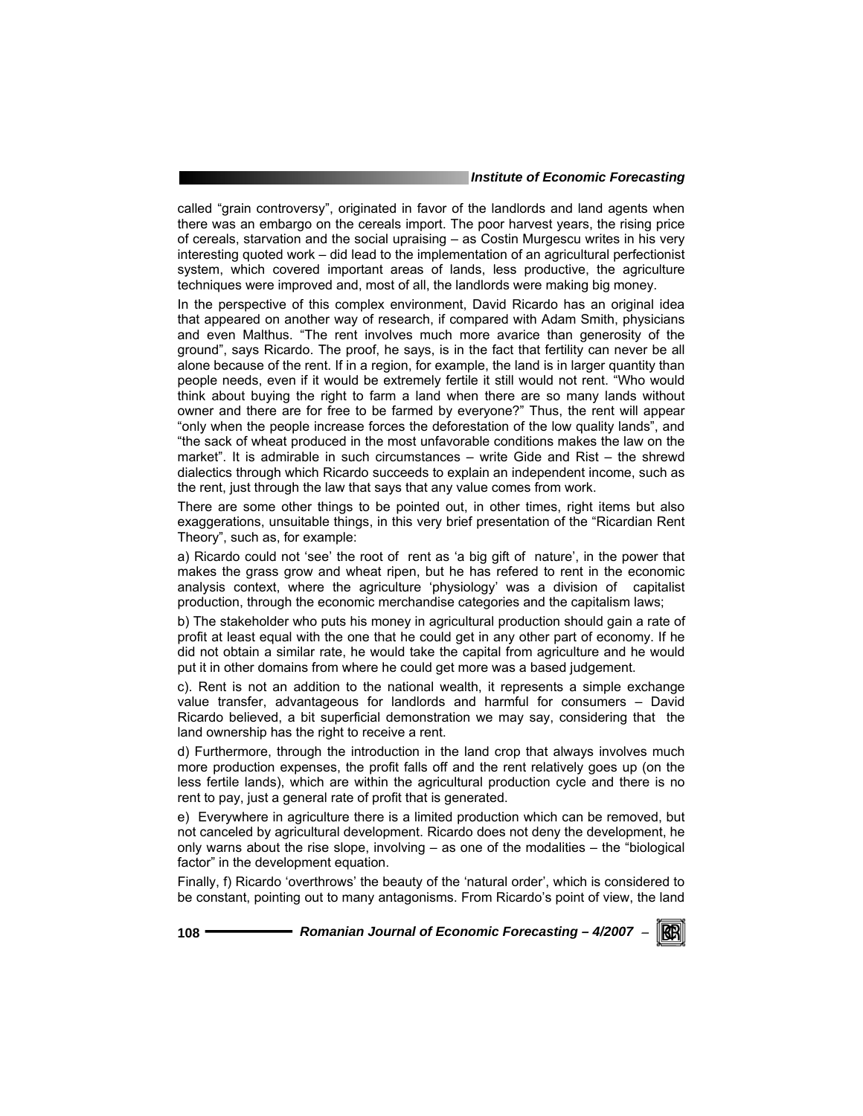called "grain controversy", originated in favor of the landlords and land agents when there was an embargo on the cereals import. The poor harvest years, the rising price of cereals, starvation and the social upraising – as Costin Murgescu writes in his very interesting quoted work – did lead to the implementation of an agricultural perfectionist system, which covered important areas of lands, less productive, the agriculture techniques were improved and, most of all, the landlords were making big money.

In the perspective of this complex environment, David Ricardo has an original idea that appeared on another way of research, if compared with Adam Smith, physicians and even Malthus. "The rent involves much more avarice than generosity of the ground", says Ricardo. The proof, he says, is in the fact that fertility can never be all alone because of the rent. If in a region, for example, the land is in larger quantity than people needs, even if it would be extremely fertile it still would not rent. "Who would think about buying the right to farm a land when there are so many lands without owner and there are for free to be farmed by everyone?" Thus, the rent will appear "only when the people increase forces the deforestation of the low quality lands", and "the sack of wheat produced in the most unfavorable conditions makes the law on the market". It is admirable in such circumstances – write Gide and Rist – the shrewd dialectics through which Ricardo succeeds to explain an independent income, such as the rent, just through the law that says that any value comes from work.

There are some other things to be pointed out, in other times, right items but also exaggerations, unsuitable things, in this very brief presentation of the "Ricardian Rent Theory", such as, for example:

a) Ricardo could not 'see' the root of rent as 'a big gift of nature', in the power that makes the grass grow and wheat ripen, but he has refered to rent in the economic analysis context, where the agriculture 'physiology' was a division of capitalist production, through the economic merchandise categories and the capitalism laws;

b) The stakeholder who puts his money in agricultural production should gain a rate of profit at least equal with the one that he could get in any other part of economy. If he did not obtain a similar rate, he would take the capital from agriculture and he would put it in other domains from where he could get more was a based judgement.

c). Rent is not an addition to the national wealth, it represents a simple exchange value transfer, advantageous for landlords and harmful for consumers – David Ricardo believed, a bit superficial demonstration we may say, considering that the land ownership has the right to receive a rent.

d) Furthermore, through the introduction in the land crop that always involves much more production expenses, the profit falls off and the rent relatively goes up (on the less fertile lands), which are within the agricultural production cycle and there is no rent to pay, just a general rate of profit that is generated.

e) Everywhere in agriculture there is a limited production which can be removed, but not canceled by agricultural development. Ricardo does not deny the development, he only warns about the rise slope, involving – as one of the modalities – the "biological factor" in the development equation.

Finally, f) Ricardo 'overthrows' the beauty of the 'natural order', which is considered to be constant, pointing out to many antagonisms. From Ricardo's point of view, the land

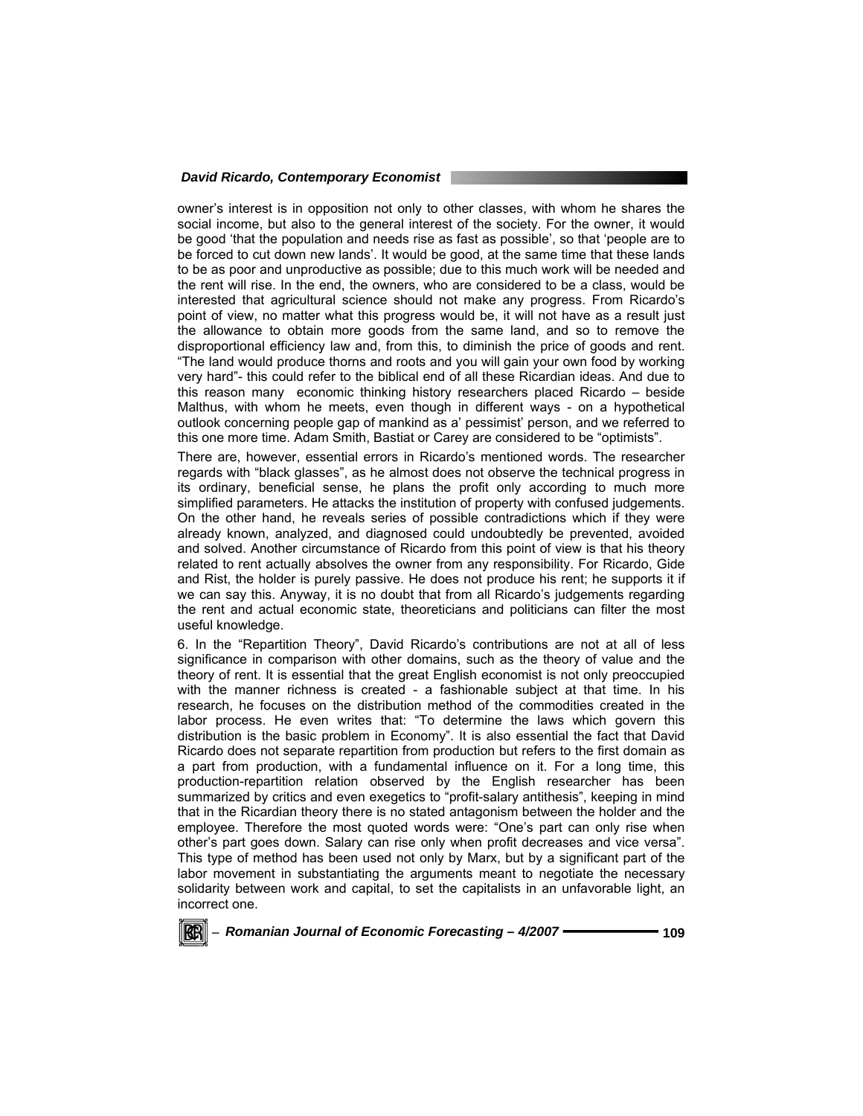owner's interest is in opposition not only to other classes, with whom he shares the social income, but also to the general interest of the society. For the owner, it would be good 'that the population and needs rise as fast as possible', so that 'people are to be forced to cut down new lands'. It would be good, at the same time that these lands to be as poor and unproductive as possible; due to this much work will be needed and the rent will rise. In the end, the owners, who are considered to be a class, would be interested that agricultural science should not make any progress. From Ricardo's point of view, no matter what this progress would be, it will not have as a result just the allowance to obtain more goods from the same land, and so to remove the disproportional efficiency law and, from this, to diminish the price of goods and rent. "The land would produce thorns and roots and you will gain your own food by working very hard"- this could refer to the biblical end of all these Ricardian ideas. And due to this reason many economic thinking history researchers placed Ricardo – beside Malthus, with whom he meets, even though in different ways - on a hypothetical outlook concerning people gap of mankind as a' pessimist' person, and we referred to this one more time. Adam Smith, Bastiat or Carey are considered to be "optimists".

There are, however, essential errors in Ricardo's mentioned words. The researcher regards with "black glasses", as he almost does not observe the technical progress in its ordinary, beneficial sense, he plans the profit only according to much more simplified parameters. He attacks the institution of property with confused judgements. On the other hand, he reveals series of possible contradictions which if they were already known, analyzed, and diagnosed could undoubtedly be prevented, avoided and solved. Another circumstance of Ricardo from this point of view is that his theory related to rent actually absolves the owner from any responsibility. For Ricardo, Gide and Rist, the holder is purely passive. He does not produce his rent; he supports it if we can say this. Anyway, it is no doubt that from all Ricardo's judgements regarding the rent and actual economic state, theoreticians and politicians can filter the most useful knowledge.

6. In the "Repartition Theory", David Ricardo's contributions are not at all of less significance in comparison with other domains, such as the theory of value and the theory of rent. It is essential that the great English economist is not only preoccupied with the manner richness is created - a fashionable subject at that time. In his research, he focuses on the distribution method of the commodities created in the labor process. He even writes that: "To determine the laws which govern this distribution is the basic problem in Economy". It is also essential the fact that David Ricardo does not separate repartition from production but refers to the first domain as a part from production, with a fundamental influence on it. For a long time, this production-repartition relation observed by the English researcher has been summarized by critics and even exegetics to "profit-salary antithesis", keeping in mind that in the Ricardian theory there is no stated antagonism between the holder and the employee. Therefore the most quoted words were: "One's part can only rise when other's part goes down. Salary can rise only when profit decreases and vice versa". This type of method has been used not only by Marx, but by a significant part of the labor movement in substantiating the arguments meant to negotiate the necessary solidarity between work and capital, to set the capitalists in an unfavorable light, an incorrect one.

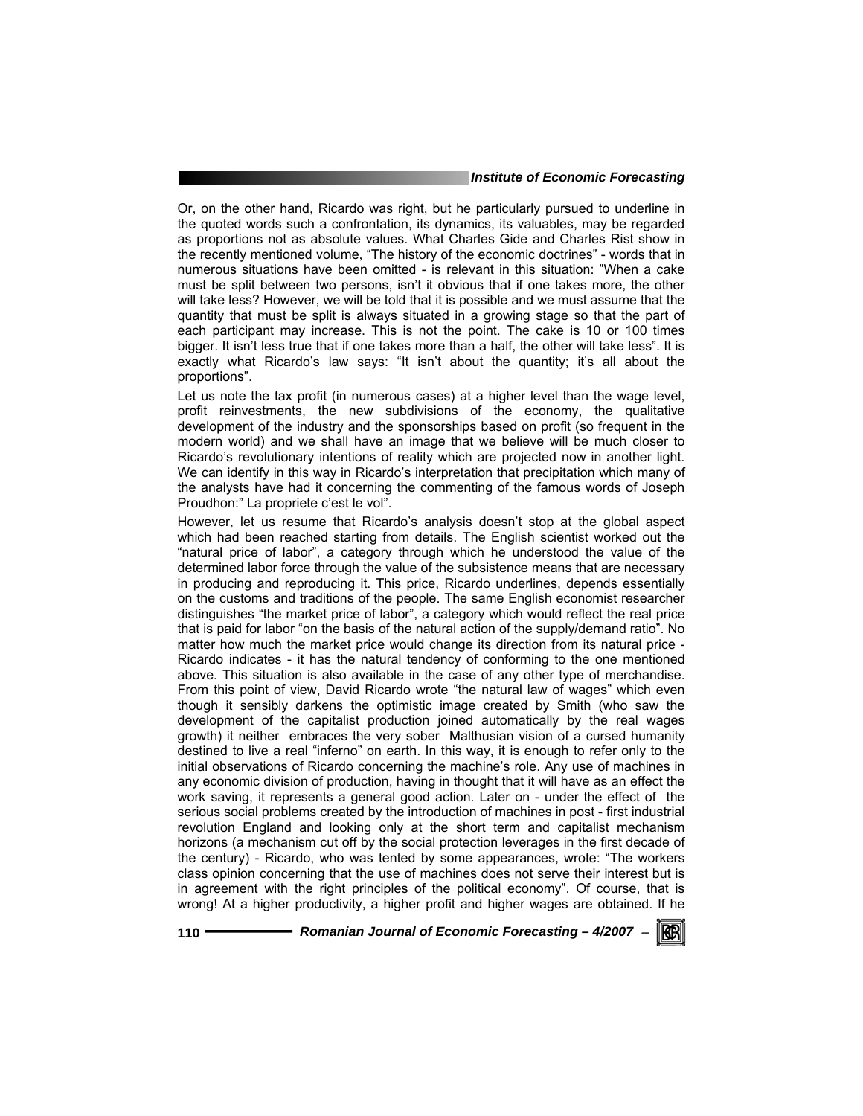Or, on the other hand, Ricardo was right, but he particularly pursued to underline in the quoted words such a confrontation, its dynamics, its valuables, may be regarded as proportions not as absolute values. What Charles Gide and Charles Rist show in the recently mentioned volume, "The history of the economic doctrines" - words that in numerous situations have been omitted - is relevant in this situation: "When a cake must be split between two persons, isn't it obvious that if one takes more, the other will take less? However, we will be told that it is possible and we must assume that the quantity that must be split is always situated in a growing stage so that the part of each participant may increase. This is not the point. The cake is 10 or 100 times bigger. It isn't less true that if one takes more than a half, the other will take less". It is exactly what Ricardo's law says: "It isn't about the quantity; it's all about the proportions".

Let us note the tax profit (in numerous cases) at a higher level than the wage level, profit reinvestments, the new subdivisions of the economy, the qualitative development of the industry and the sponsorships based on profit (so frequent in the modern world) and we shall have an image that we believe will be much closer to Ricardo's revolutionary intentions of reality which are projected now in another light. We can identify in this way in Ricardo's interpretation that precipitation which many of the analysts have had it concerning the commenting of the famous words of Joseph Proudhon:" La propriete c'est le vol".

However, let us resume that Ricardo's analysis doesn't stop at the global aspect which had been reached starting from details. The English scientist worked out the "natural price of labor", a category through which he understood the value of the determined labor force through the value of the subsistence means that are necessary in producing and reproducing it. This price, Ricardo underlines, depends essentially on the customs and traditions of the people. The same English economist researcher distinguishes "the market price of labor", a category which would reflect the real price that is paid for labor "on the basis of the natural action of the supply/demand ratio". No matter how much the market price would change its direction from its natural price - Ricardo indicates - it has the natural tendency of conforming to the one mentioned above. This situation is also available in the case of any other type of merchandise. From this point of view, David Ricardo wrote "the natural law of wages" which even though it sensibly darkens the optimistic image created by Smith (who saw the development of the capitalist production joined automatically by the real wages growth) it neither embraces the very sober Malthusian vision of a cursed humanity destined to live a real "inferno" on earth. In this way, it is enough to refer only to the initial observations of Ricardo concerning the machine's role. Any use of machines in any economic division of production, having in thought that it will have as an effect the work saving, it represents a general good action. Later on - under the effect of the serious social problems created by the introduction of machines in post - first industrial revolution England and looking only at the short term and capitalist mechanism horizons (a mechanism cut off by the social protection leverages in the first decade of the century) - Ricardo, who was tented by some appearances, wrote: "The workers class opinion concerning that the use of machines does not serve their interest but is in agreement with the right principles of the political economy". Of course, that is wrong! At a higher productivity, a higher profit and higher wages are obtained. If he

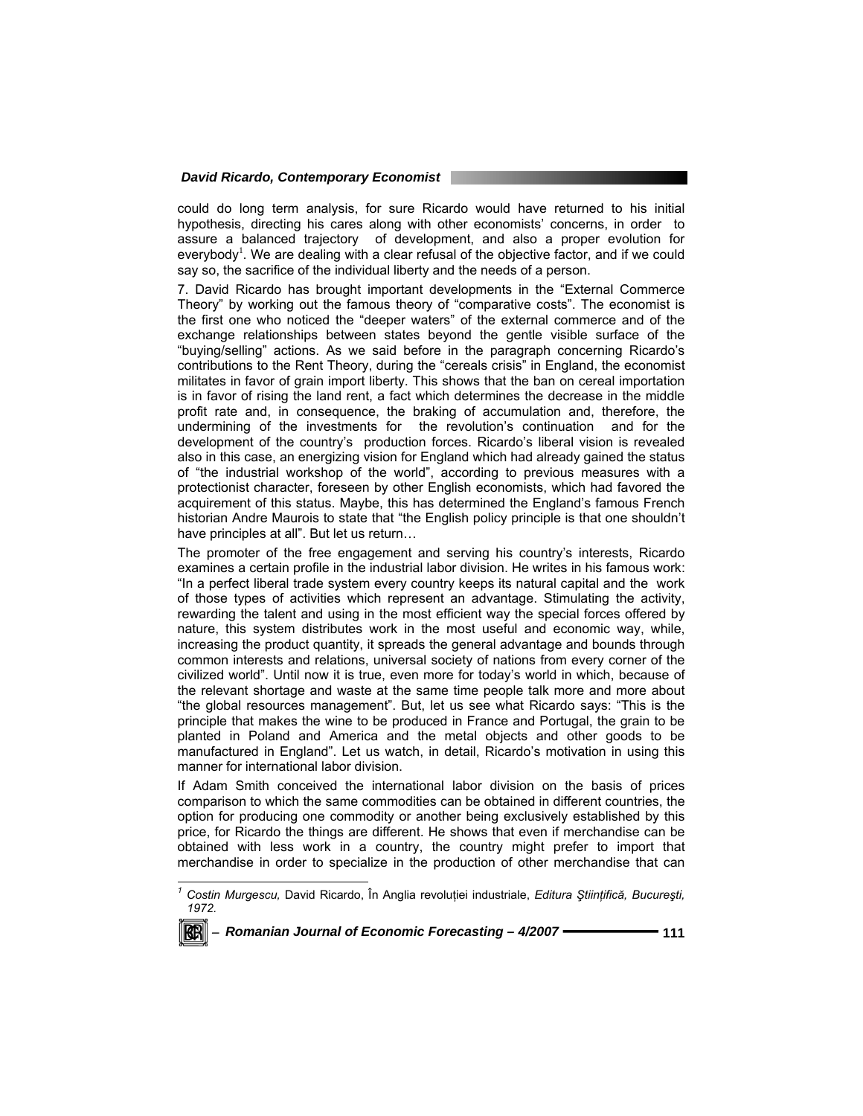could do long term analysis, for sure Ricardo would have returned to his initial hypothesis, directing his cares along with other economists' concerns, in order to assure a balanced trajectory of development, and also a proper evolution for everybody<sup>1</sup>. We are dealing with a clear refusal of the objective factor, and if we could say so, the sacrifice of the individual liberty and the needs of a person.

7. David Ricardo has brought important developments in the "External Commerce Theory" by working out the famous theory of "comparative costs". The economist is the first one who noticed the "deeper waters" of the external commerce and of the exchange relationships between states beyond the gentle visible surface of the "buying/selling" actions. As we said before in the paragraph concerning Ricardo's contributions to the Rent Theory, during the "cereals crisis" in England, the economist militates in favor of grain import liberty. This shows that the ban on cereal importation is in favor of rising the land rent, a fact which determines the decrease in the middle profit rate and, in consequence, the braking of accumulation and, therefore, the undermining of the investments for the revolution's continuation and for the development of the country's production forces. Ricardo's liberal vision is revealed also in this case, an energizing vision for England which had already gained the status of "the industrial workshop of the world", according to previous measures with a protectionist character, foreseen by other English economists, which had favored the acquirement of this status. Maybe, this has determined the England's famous French historian Andre Maurois to state that "the English policy principle is that one shouldn't have principles at all". But let us return…

The promoter of the free engagement and serving his country's interests, Ricardo examines a certain profile in the industrial labor division. He writes in his famous work: "In a perfect liberal trade system every country keeps its natural capital and the work of those types of activities which represent an advantage. Stimulating the activity, rewarding the talent and using in the most efficient way the special forces offered by nature, this system distributes work in the most useful and economic way, while, increasing the product quantity, it spreads the general advantage and bounds through common interests and relations, universal society of nations from every corner of the civilized world". Until now it is true, even more for today's world in which, because of the relevant shortage and waste at the same time people talk more and more about "the global resources management". But, let us see what Ricardo says: "This is the principle that makes the wine to be produced in France and Portugal, the grain to be planted in Poland and America and the metal objects and other goods to be manufactured in England". Let us watch, in detail, Ricardo's motivation in using this manner for international labor division.

If Adam Smith conceived the international labor division on the basis of prices comparison to which the same commodities can be obtained in different countries, the option for producing one commodity or another being exclusively established by this price, for Ricardo the things are different. He shows that even if merchandise can be obtained with less work in a country, the country might prefer to import that merchandise in order to specialize in the production of other merchandise that can

*<sup>1</sup> Costin Murgescu,* David Ricardo, În Anglia revoluţiei industriale, *Editura Ştiinţifică, Bucureşti, 1972.* 



 $\overline{a}$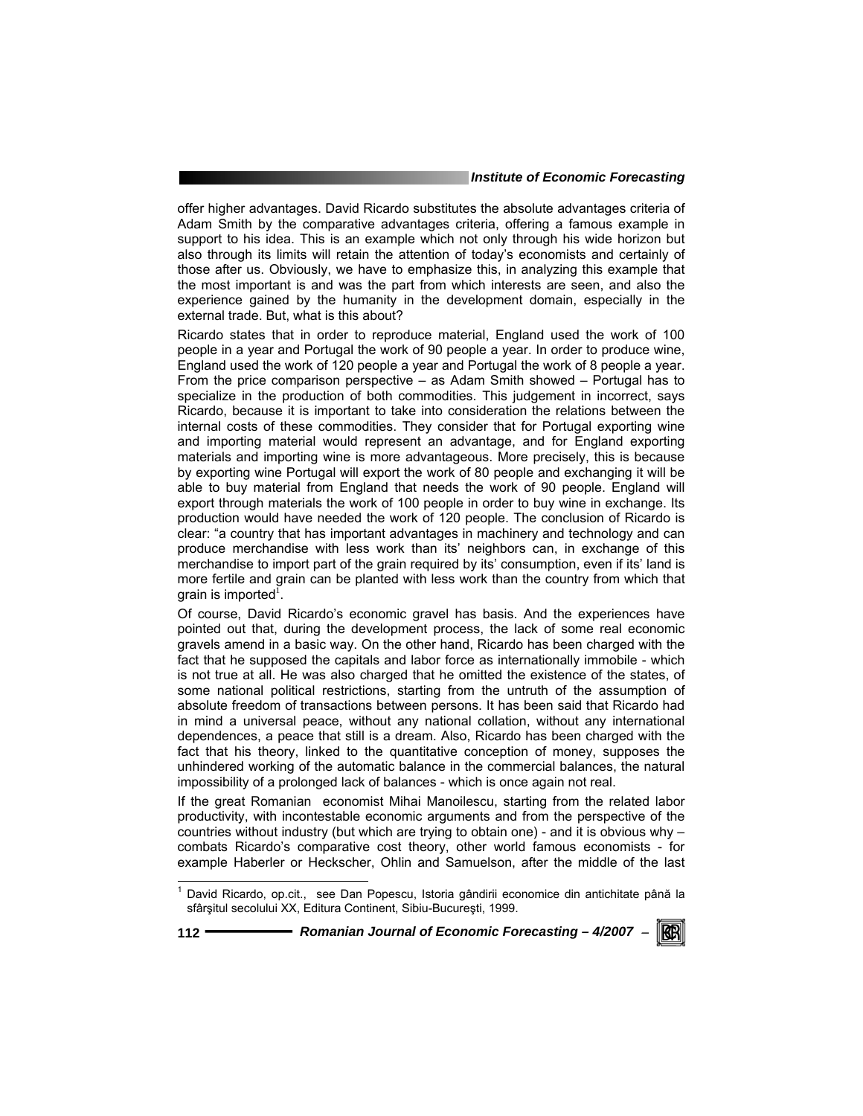offer higher advantages. David Ricardo substitutes the absolute advantages criteria of Adam Smith by the comparative advantages criteria, offering a famous example in support to his idea. This is an example which not only through his wide horizon but also through its limits will retain the attention of today's economists and certainly of those after us. Obviously, we have to emphasize this, in analyzing this example that the most important is and was the part from which interests are seen, and also the experience gained by the humanity in the development domain, especially in the external trade. But, what is this about?

Ricardo states that in order to reproduce material, England used the work of 100 people in a year and Portugal the work of 90 people a year. In order to produce wine, England used the work of 120 people a year and Portugal the work of 8 people a year. From the price comparison perspective – as Adam Smith showed – Portugal has to specialize in the production of both commodities. This judgement in incorrect, says Ricardo, because it is important to take into consideration the relations between the internal costs of these commodities. They consider that for Portugal exporting wine and importing material would represent an advantage, and for England exporting materials and importing wine is more advantageous. More precisely, this is because by exporting wine Portugal will export the work of 80 people and exchanging it will be able to buy material from England that needs the work of 90 people. England will export through materials the work of 100 people in order to buy wine in exchange. Its production would have needed the work of 120 people. The conclusion of Ricardo is clear: "a country that has important advantages in machinery and technology and can produce merchandise with less work than its' neighbors can, in exchange of this merchandise to import part of the grain required by its' consumption, even if its' land is more fertile and grain can be planted with less work than the country from which that grain is imported<sup> $\overline{\mathbf{f}}$ .</sup>

Of course, David Ricardo's economic gravel has basis. And the experiences have pointed out that, during the development process, the lack of some real economic gravels amend in a basic way. On the other hand, Ricardo has been charged with the fact that he supposed the capitals and labor force as internationally immobile - which is not true at all. He was also charged that he omitted the existence of the states, of some national political restrictions, starting from the untruth of the assumption of absolute freedom of transactions between persons. It has been said that Ricardo had in mind a universal peace, without any national collation, without any international dependences, a peace that still is a dream. Also, Ricardo has been charged with the fact that his theory, linked to the quantitative conception of money, supposes the unhindered working of the automatic balance in the commercial balances, the natural impossibility of a prolonged lack of balances - which is once again not real.

If the great Romanian economist Mihai Manoilescu, starting from the related labor productivity, with incontestable economic arguments and from the perspective of the countries without industry (but which are trying to obtain one) - and it is obvious why – combats Ricardo's comparative cost theory, other world famous economists - for example Haberler or Heckscher, Ohlin and Samuelson, after the middle of the last

l

**112** *Romanian Journal of Economic Forecasting – 4/2007* <sup>−</sup>

KR

<sup>&</sup>lt;sup>1</sup> David Ricardo, op.cit., see Dan Popescu, Istoria gândirii economice din antichitate până la sfârşitul secolului XX, Editura Continent, Sibiu-Bucureşti, 1999.